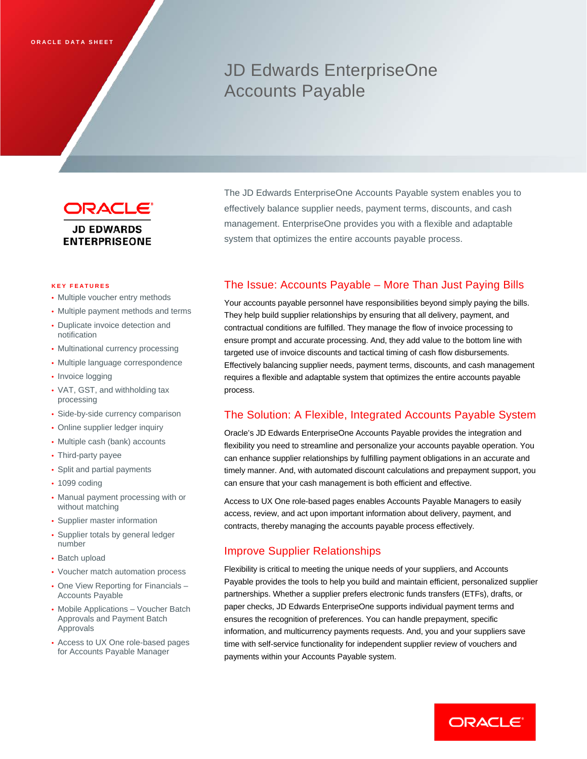# JD Edwards EnterpriseOne Accounts Payable



# **JD EDWARDS ENTERPRISEONE**

#### **KEY FEATURES**

- Multiple voucher entry methods
- Multiple payment methods and terms
- Duplicate invoice detection and notification
- Multinational currency processing
- Multiple language correspondence
- Invoice logging
- VAT, GST, and withholding tax processing
- Side-by-side currency comparison
- Online supplier ledger inquiry
- Multiple cash (bank) accounts
- Third-party payee
- Split and partial payments
- 1099 coding
- Manual payment processing with or without matching
- Supplier master information
- Supplier totals by general ledger number
- Batch upload
- Voucher match automation process
- One View Reporting for Financials Accounts Payable
- Mobile Applications Voucher Batch Approvals and Payment Batch Approvals
- Access to UX One role-based pages for Accounts Payable Manager

The JD Edwards EnterpriseOne Accounts Payable system enables you to effectively balance supplier needs, payment terms, discounts, and cash management. EnterpriseOne provides you with a flexible and adaptable system that optimizes the entire accounts payable process.

# The Issue: Accounts Payable – More Than Just Paying Bills

Your accounts payable personnel have responsibilities beyond simply paying the bills. They help build supplier relationships by ensuring that all delivery, payment, and contractual conditions are fulfilled. They manage the flow of invoice processing to ensure prompt and accurate processing. And, they add value to the bottom line with targeted use of invoice discounts and tactical timing of cash flow disbursements. Effectively balancing supplier needs, payment terms, discounts, and cash management requires a flexible and adaptable system that optimizes the entire accounts payable process.

## The Solution: A Flexible, Integrated Accounts Payable System

Oracle's JD Edwards EnterpriseOne Accounts Payable provides the integration and flexibility you need to streamline and personalize your accounts payable operation. You can enhance supplier relationships by fulfilling payment obligations in an accurate and timely manner. And, with automated discount calculations and prepayment support, you can ensure that your cash management is both efficient and effective.

Access to UX One role-based pages enables Accounts Payable Managers to easily access, review, and act upon important information about delivery, payment, and contracts, thereby managing the accounts payable process effectively.

## Improve Supplier Relationships

Flexibility is critical to meeting the unique needs of your suppliers, and Accounts Payable provides the tools to help you build and maintain efficient, personalized supplier partnerships. Whether a supplier prefers electronic funds transfers (ETFs), drafts, or paper checks, JD Edwards EnterpriseOne supports individual payment terms and ensures the recognition of preferences. You can handle prepayment, specific information, and multicurrency payments requests. And, you and your suppliers save time with self-service functionality for independent supplier review of vouchers and payments within your Accounts Payable system.

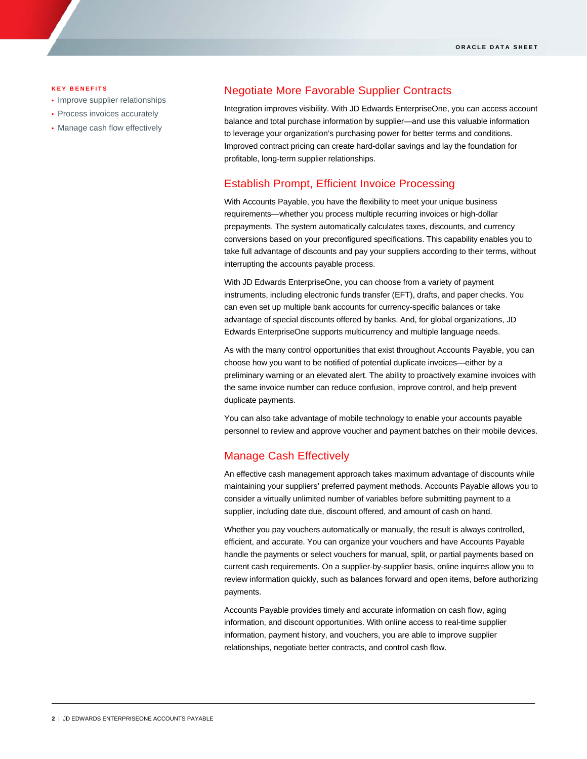#### **KEY BENEFITS**

- Improve supplier relationships
- Process invoices accurately
- Manage cash flow effectively

## Negotiate More Favorable Supplier Contracts

Integration improves visibility. With JD Edwards EnterpriseOne, you can access account balance and total purchase information by supplier—and use this valuable information to leverage your organization's purchasing power for better terms and conditions. Improved contract pricing can create hard-dollar savings and lay the foundation for profitable, long-term supplier relationships.

#### Establish Prompt, Efficient Invoice Processing

With Accounts Payable, you have the flexibility to meet your unique business requirements—whether you process multiple recurring invoices or high-dollar prepayments. The system automatically calculates taxes, discounts, and currency conversions based on your preconfigured specifications. This capability enables you to take full advantage of discounts and pay your suppliers according to their terms, without interrupting the accounts payable process.

With JD Edwards EnterpriseOne, you can choose from a variety of payment instruments, including electronic funds transfer (EFT), drafts, and paper checks. You can even set up multiple bank accounts for currency-specific balances or take advantage of special discounts offered by banks. And, for global organizations, JD Edwards EnterpriseOne supports multicurrency and multiple language needs.

As with the many control opportunities that exist throughout Accounts Payable, you can choose how you want to be notified of potential duplicate invoices—either by a preliminary warning or an elevated alert. The ability to proactively examine invoices with the same invoice number can reduce confusion, improve control, and help prevent duplicate payments.

You can also take advantage of mobile technology to enable your accounts payable personnel to review and approve voucher and payment batches on their mobile devices.

## Manage Cash Effectively

An effective cash management approach takes maximum advantage of discounts while maintaining your suppliers' preferred payment methods. Accounts Payable allows you to consider a virtually unlimited number of variables before submitting payment to a supplier, including date due, discount offered, and amount of cash on hand.

Whether you pay vouchers automatically or manually, the result is always controlled, efficient, and accurate. You can organize your vouchers and have Accounts Payable handle the payments or select vouchers for manual, split, or partial payments based on current cash requirements. On a supplier-by-supplier basis, online inquires allow you to review information quickly, such as balances forward and open items, before authorizing payments.

Accounts Payable provides timely and accurate information on cash flow, aging information, and discount opportunities. With online access to real-time supplier information, payment history, and vouchers, you are able to improve supplier relationships, negotiate better contracts, and control cash flow.